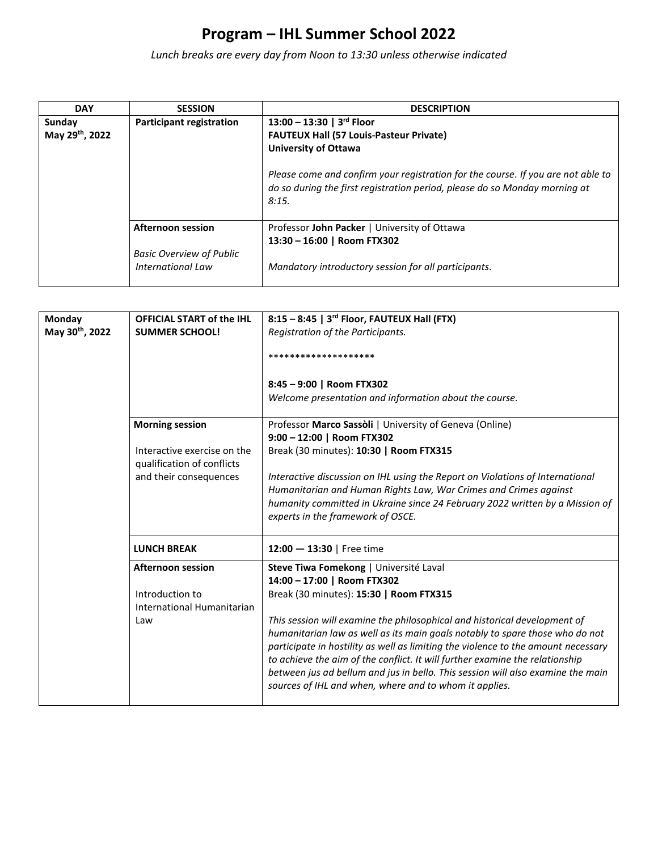*Lunch breaks are every day from Noon to 13:30 unless otherwise indicated*

| <b>DAY</b>     | <b>SESSION</b>                                              | <b>DESCRIPTION</b>                                                                                                                                                      |
|----------------|-------------------------------------------------------------|-------------------------------------------------------------------------------------------------------------------------------------------------------------------------|
| Sunday         | <b>Participant registration</b>                             | 13:00 - 13:30   3 <sup>rd</sup> Floor                                                                                                                                   |
| May 29th, 2022 |                                                             | <b>FAUTEUX Hall (57 Louis-Pasteur Private)</b>                                                                                                                          |
|                |                                                             | <b>University of Ottawa</b>                                                                                                                                             |
|                |                                                             | Please come and confirm your registration for the course. If you are not able to<br>do so during the first registration period, please do so Monday morning at<br>8:15. |
|                | <b>Afternoon session</b>                                    | Professor John Packer   University of Ottawa                                                                                                                            |
|                |                                                             | 13:30 - 16:00   Room FTX302                                                                                                                                             |
|                | <b>Basic Overview of Public</b><br><b>International Law</b> | Mandatory introductory session for all participants.                                                                                                                    |

| Monday                      | <b>OFFICIAL START of the IHL</b>                          | 8:15 - 8:45   3rd Floor, FAUTEUX Hall (FTX)                                                                                               |
|-----------------------------|-----------------------------------------------------------|-------------------------------------------------------------------------------------------------------------------------------------------|
| May 30 <sup>th</sup> , 2022 | <b>SUMMER SCHOOL!</b>                                     | Registration of the Participants.                                                                                                         |
|                             |                                                           | ********************                                                                                                                      |
|                             |                                                           | 8:45 - 9:00   Room FTX302<br>Welcome presentation and information about the course.                                                       |
|                             |                                                           |                                                                                                                                           |
|                             | <b>Morning session</b>                                    | Professor Marco Sassòli   University of Geneva (Online)                                                                                   |
|                             |                                                           | 9:00 - 12:00   Room FTX302                                                                                                                |
|                             | Interactive exercise on the<br>qualification of conflicts | Break (30 minutes): 10:30   Room FTX315                                                                                                   |
|                             | and their consequences                                    | Interactive discussion on IHL using the Report on Violations of International                                                             |
|                             |                                                           | Humanitarian and Human Rights Law, War Crimes and Crimes against                                                                          |
|                             |                                                           | humanity committed in Ukraine since 24 February 2022 written by a Mission of                                                              |
|                             |                                                           | experts in the framework of OSCE.                                                                                                         |
|                             | <b>LUNCH BREAK</b>                                        | 12:00 $-$ 13:30   Free time                                                                                                               |
|                             | <b>Afternoon session</b>                                  | Steve Tiwa Fomekong   Université Laval                                                                                                    |
|                             |                                                           | 14:00 - 17:00   Room FTX302                                                                                                               |
|                             | Introduction to                                           | Break (30 minutes): 15:30   Room FTX315                                                                                                   |
|                             | International Humanitarian                                |                                                                                                                                           |
|                             | Law                                                       | This session will examine the philosophical and historical development of                                                                 |
|                             |                                                           | humanitarian law as well as its main goals notably to spare those who do not                                                              |
|                             |                                                           |                                                                                                                                           |
|                             |                                                           | participate in hostility as well as limiting the violence to the amount necessary                                                         |
|                             |                                                           | to achieve the aim of the conflict. It will further examine the relationship                                                              |
|                             |                                                           | between jus ad bellum and jus in bello. This session will also examine the main<br>sources of IHL and when, where and to whom it applies. |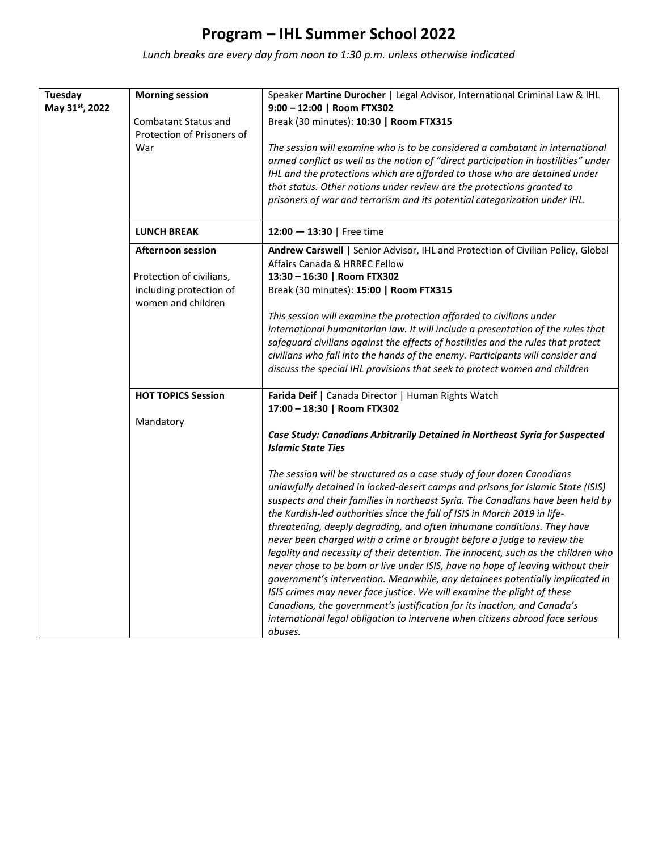*Lunch breaks are every day from noon to 1:30 p.m. unless otherwise indicated*

| Tuesday<br>May 31st, 2022 | <b>Morning session</b><br><b>Combatant Status and</b><br>Protection of Prisoners of<br>War            | Speaker Martine Durocher   Legal Advisor, International Criminal Law & IHL<br>9:00 - 12:00   Room FTX302<br>Break (30 minutes): 10:30   Room FTX315<br>The session will examine who is to be considered a combatant in international<br>armed conflict as well as the notion of "direct participation in hostilities" under<br>IHL and the protections which are afforded to those who are detained under<br>that status. Other notions under review are the protections granted to<br>prisoners of war and terrorism and its potential categorization under IHL.                                                                                                                                                                                                                                                                                                                                                                                                                                                                                                                                                                                                                             |
|---------------------------|-------------------------------------------------------------------------------------------------------|-----------------------------------------------------------------------------------------------------------------------------------------------------------------------------------------------------------------------------------------------------------------------------------------------------------------------------------------------------------------------------------------------------------------------------------------------------------------------------------------------------------------------------------------------------------------------------------------------------------------------------------------------------------------------------------------------------------------------------------------------------------------------------------------------------------------------------------------------------------------------------------------------------------------------------------------------------------------------------------------------------------------------------------------------------------------------------------------------------------------------------------------------------------------------------------------------|
|                           | <b>LUNCH BREAK</b>                                                                                    | $12:00 - 13:30$   Free time                                                                                                                                                                                                                                                                                                                                                                                                                                                                                                                                                                                                                                                                                                                                                                                                                                                                                                                                                                                                                                                                                                                                                                   |
|                           | <b>Afternoon session</b><br>Protection of civilians,<br>including protection of<br>women and children | Andrew Carswell   Senior Advisor, IHL and Protection of Civilian Policy, Global<br>Affairs Canada & HRREC Fellow<br>13:30 - 16:30   Room FTX302<br>Break (30 minutes): 15:00   Room FTX315<br>This session will examine the protection afforded to civilians under<br>international humanitarian law. It will include a presentation of the rules that<br>safeguard civilians against the effects of hostilities and the rules that protect<br>civilians who fall into the hands of the enemy. Participants will consider and<br>discuss the special IHL provisions that seek to protect women and children                                                                                                                                                                                                                                                                                                                                                                                                                                                                                                                                                                                   |
|                           | <b>HOT TOPICS Session</b><br>Mandatory                                                                | Farida Deif   Canada Director   Human Rights Watch<br>17:00 - 18:30   Room FTX302<br>Case Study: Canadians Arbitrarily Detained in Northeast Syria for Suspected<br><b>Islamic State Ties</b><br>The session will be structured as a case study of four dozen Canadians<br>unlawfully detained in locked-desert camps and prisons for Islamic State (ISIS)<br>suspects and their families in northeast Syria. The Canadians have been held by<br>the Kurdish-led authorities since the fall of ISIS in March 2019 in life-<br>threatening, deeply degrading, and often inhumane conditions. They have<br>never been charged with a crime or brought before a judge to review the<br>legality and necessity of their detention. The innocent, such as the children who<br>never chose to be born or live under ISIS, have no hope of leaving without their<br>government's intervention. Meanwhile, any detainees potentially implicated in<br>ISIS crimes may never face justice. We will examine the plight of these<br>Canadians, the government's justification for its inaction, and Canada's<br>international legal obligation to intervene when citizens abroad face serious<br>abuses. |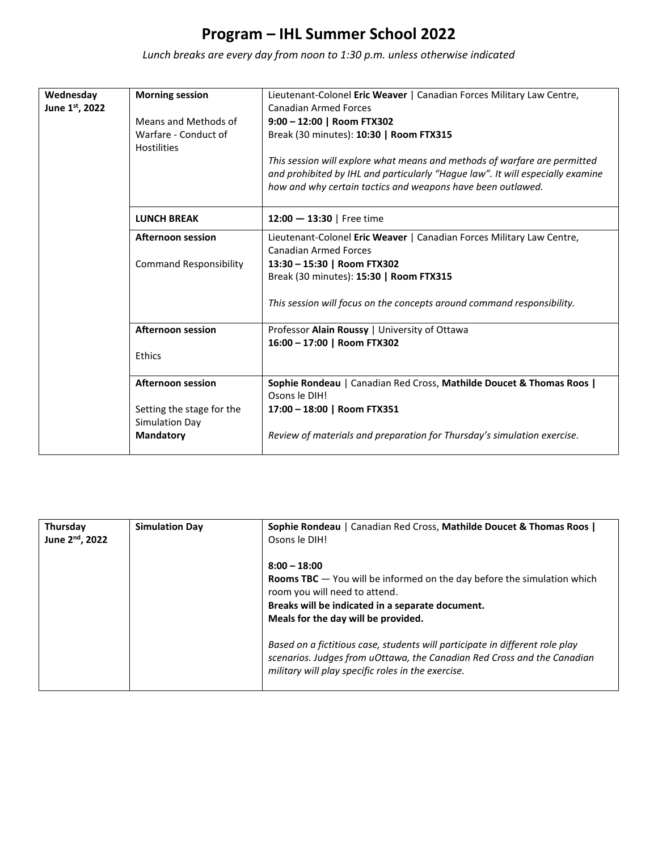*Lunch breaks are every day from noon to 1:30 p.m. unless otherwise indicated*

| Wednesday<br>June 1st, 2022 | <b>Morning session</b><br>Means and Methods of<br>Warfare - Conduct of<br><b>Hostilities</b> | Lieutenant-Colonel Eric Weaver   Canadian Forces Military Law Centre,<br><b>Canadian Armed Forces</b><br>9:00 - 12:00   Room FTX302<br>Break (30 minutes): 10:30   Room FTX315<br>This session will explore what means and methods of warfare are permitted |
|-----------------------------|----------------------------------------------------------------------------------------------|-------------------------------------------------------------------------------------------------------------------------------------------------------------------------------------------------------------------------------------------------------------|
|                             |                                                                                              | and prohibited by IHL and particularly "Hague law". It will especially examine<br>how and why certain tactics and weapons have been outlawed.                                                                                                               |
|                             | <b>LUNCH BREAK</b>                                                                           | 12:00 $-$ 13:30   Free time                                                                                                                                                                                                                                 |
|                             | <b>Afternoon session</b>                                                                     | Lieutenant-Colonel Eric Weaver   Canadian Forces Military Law Centre,<br><b>Canadian Armed Forces</b>                                                                                                                                                       |
|                             | <b>Command Responsibility</b>                                                                | 13:30 - 15:30   Room FTX302<br>Break (30 minutes): 15:30   Room FTX315                                                                                                                                                                                      |
|                             |                                                                                              | This session will focus on the concepts around command responsibility.                                                                                                                                                                                      |
|                             | <b>Afternoon session</b>                                                                     | Professor Alain Roussy   University of Ottawa<br>16:00 - 17:00   Room FTX302                                                                                                                                                                                |
|                             | Ethics                                                                                       |                                                                                                                                                                                                                                                             |
|                             | <b>Afternoon session</b>                                                                     | Sophie Rondeau   Canadian Red Cross, Mathilde Doucet & Thomas Roos  <br>Osons le DIH!                                                                                                                                                                       |
|                             | Setting the stage for the<br>Simulation Day                                                  | 17:00 - 18:00   Room FTX351                                                                                                                                                                                                                                 |
|                             | <b>Mandatory</b>                                                                             | Review of materials and preparation for Thursday's simulation exercise.                                                                                                                                                                                     |

| Thursday<br>June 2 <sup>nd</sup> , 2022 | <b>Simulation Day</b> | Sophie Rondeau   Canadian Red Cross, Mathilde Doucet & Thomas Roos  <br>Osons le DIH!                                                                                                                                          |
|-----------------------------------------|-----------------------|--------------------------------------------------------------------------------------------------------------------------------------------------------------------------------------------------------------------------------|
|                                         |                       | $8:00 - 18:00$<br><b>Rooms TBC</b> $-$ You will be informed on the day before the simulation which<br>room you will need to attend.<br>Breaks will be indicated in a separate document.<br>Meals for the day will be provided. |
|                                         |                       | Based on a fictitious case, students will participate in different role play<br>scenarios. Judges from uOttawa, the Canadian Red Cross and the Canadian<br>military will play specific roles in the exercise.                  |